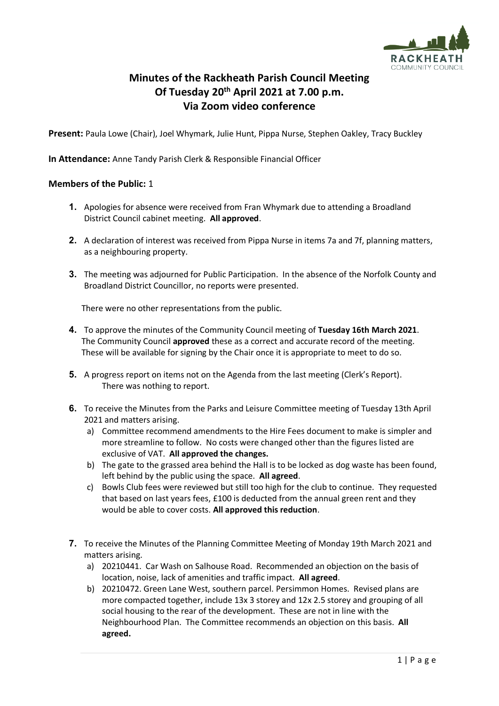

## **Minutes of the Rackheath Parish Council Meeting Of Tuesday 20th April 2021 at 7.00 p.m. Via Zoom video conference**

**Present:** Paula Lowe (Chair), Joel Whymark, Julie Hunt, Pippa Nurse, Stephen Oakley, Tracy Buckley

**In Attendance:** Anne Tandy Parish Clerk & Responsible Financial Officer

## **Members of the Public:** 1

- **1.** Apologies for absence were received from Fran Whymark due to attending a Broadland District Council cabinet meeting. **All approved**.
- **2.** A declaration of interest was received from Pippa Nurse in items 7a and 7f, planning matters, as a neighbouring property.
- **3.** The meeting was adjourned for Public Participation. In the absence of the Norfolk County and Broadland District Councillor, no reports were presented.

There were no other representations from the public.

- **4.** To approve the minutes of the Community Council meeting of **Tuesday 16th March 2021**. The Community Council **approved** these as a correct and accurate record of the meeting. These will be available for signing by the Chair once it is appropriate to meet to do so.
- **5.** A progress report on items not on the Agenda from the last meeting (Clerk's Report). There was nothing to report.
- **6.** To receive the Minutes from the Parks and Leisure Committee meeting of Tuesday 13th April 2021 and matters arising.
	- a) Committee recommend amendments to the Hire Fees document to make is simpler and more streamline to follow. No costs were changed other than the figures listed are exclusive of VAT. **All approved the changes.**
	- b) The gate to the grassed area behind the Hall is to be locked as dog waste has been found, left behind by the public using the space. **All agreed**.
	- c) Bowls Club fees were reviewed but still too high for the club to continue. They requested that based on last years fees, £100 is deducted from the annual green rent and they would be able to cover costs. **All approved this reduction**.
- **7.** To receive the Minutes of the Planning Committee Meeting of Monday 19th March 2021 and matters arising.
	- a) 20210441. Car Wash on Salhouse Road. Recommended an objection on the basis of location, noise, lack of amenities and traffic impact. **All agreed**.
	- b) 20210472. Green Lane West, southern parcel. Persimmon Homes. Revised plans are more compacted together, include 13x 3 storey and 12x 2.5 storey and grouping of all social housing to the rear of the development. These are not in line with the Neighbourhood Plan. The Committee recommends an objection on this basis. **All agreed.**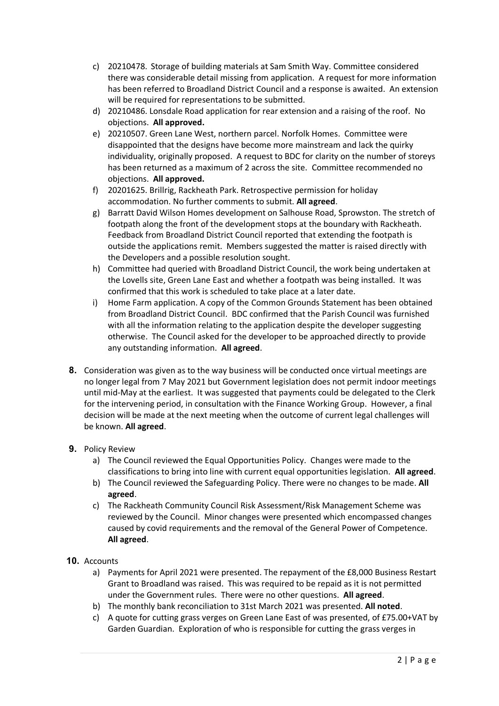- c) 20210478. Storage of building materials at Sam Smith Way. Committee considered there was considerable detail missing from application. A request for more information has been referred to Broadland District Council and a response is awaited. An extension will be required for representations to be submitted.
- d) 20210486. Lonsdale Road application for rear extension and a raising of the roof. No objections. **All approved.**
- e) 20210507. Green Lane West, northern parcel. Norfolk Homes. Committee were disappointed that the designs have become more mainstream and lack the quirky individuality, originally proposed. A request to BDC for clarity on the number of storeys has been returned as a maximum of 2 across the site. Committee recommended no objections. **All approved.**
- f) 20201625. Brillrig, Rackheath Park. Retrospective permission for holiday accommodation. No further comments to submit. **All agreed**.
- g) Barratt David Wilson Homes development on Salhouse Road, Sprowston. The stretch of footpath along the front of the development stops at the boundary with Rackheath. Feedback from Broadland District Council reported that extending the footpath is outside the applications remit. Members suggested the matter is raised directly with the Developers and a possible resolution sought.
- h) Committee had queried with Broadland District Council, the work being undertaken at the Lovells site, Green Lane East and whether a footpath was being installed. It was confirmed that this work is scheduled to take place at a later date.
- i) Home Farm application. A copy of the Common Grounds Statement has been obtained from Broadland District Council. BDC confirmed that the Parish Council was furnished with all the information relating to the application despite the developer suggesting otherwise. The Council asked for the developer to be approached directly to provide any outstanding information. **All agreed**.
- **8.** Consideration was given as to the way business will be conducted once virtual meetings are no longer legal from 7 May 2021 but Government legislation does not permit indoor meetings until mid-May at the earliest. It was suggested that payments could be delegated to the Clerk for the intervening period, in consultation with the Finance Working Group. However, a final decision will be made at the next meeting when the outcome of current legal challenges will be known. **All agreed**.
- **9.** Policy Review
	- a) The Council reviewed the Equal Opportunities Policy. Changes were made to the classifications to bring into line with current equal opportunities legislation. **All agreed**.
	- b) The Council reviewed the Safeguarding Policy. There were no changes to be made. **All agreed**.
	- c) The Rackheath Community Council Risk Assessment/Risk Management Scheme was reviewed by the Council. Minor changes were presented which encompassed changes caused by covid requirements and the removal of the General Power of Competence. **All agreed**.
- **10.** Accounts
	- a) Payments for April 2021 were presented. The repayment of the £8,000 Business Restart Grant to Broadland was raised. This was required to be repaid as it is not permitted under the Government rules. There were no other questions. **All agreed**.
	- b) The monthly bank reconciliation to 31st March 2021 was presented. **All noted**.
	- c) A quote for cutting grass verges on Green Lane East of was presented, of £75.00+VAT by Garden Guardian. Exploration of who is responsible for cutting the grass verges in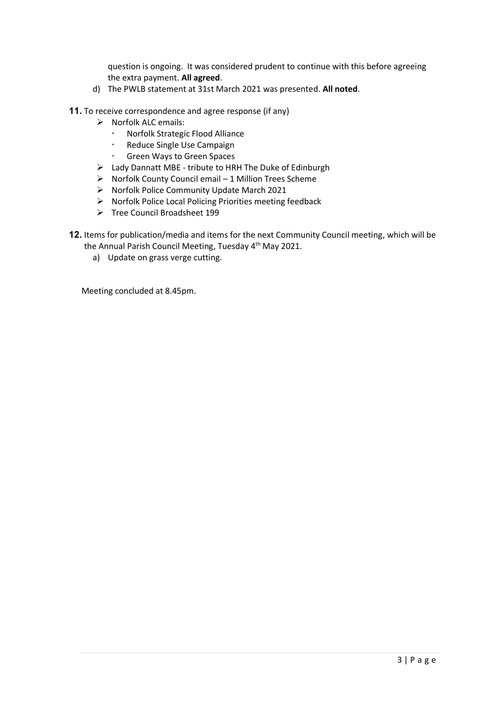question is ongoing. It was considered prudent to continue with this before agreeing the extra payment. **All agreed**.

d) The PWLB statement at 31st March 2021 was presented. **All noted**.

**11.** To receive correspondence and agree response (if any)

- ➢ Norfolk ALC emails:
	- Norfolk Strategic Flood Alliance
	- Reduce Single Use Campaign
	- Green Ways to Green Spaces
- ➢ Lady Dannatt MBE tribute to HRH The Duke of Edinburgh
- ➢ Norfolk County Council email 1 Million Trees Scheme
- ➢ Norfolk Police Community Update March 2021
- ➢ Norfolk Police Local Policing Priorities meeting feedback
- ➢ Tree Council Broadsheet 199

**12.** Items for publication/media and items for the next Community Council meeting, which will be

- the Annual Parish Council Meeting, Tuesday 4<sup>th</sup> May 2021.
	- a) Update on grass verge cutting.

Meeting concluded at 8.45pm.